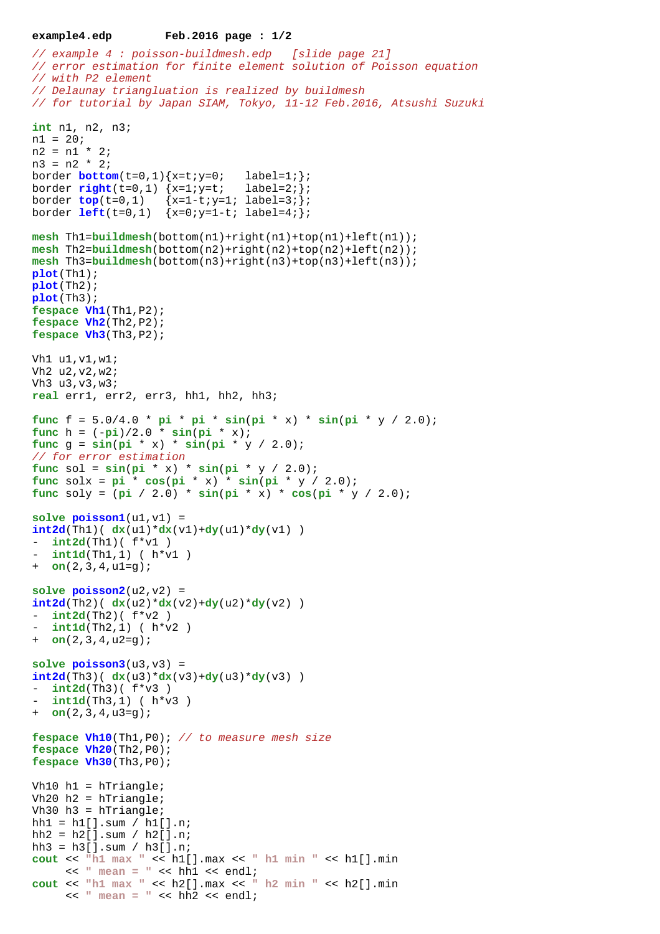## **example4.edp Feb.2016 page : 1/2**

```
// example 4 : poisson-buildmesh.edp [slide page 21]
// error estimation for finite element solution of Poisson equation
// with P2 element 
// Delaunay triangluation is realized by buildmesh
// for tutorial by Japan SIAM, Tokyo, 11-12 Feb.2016, Atsushi Suzuki
int n1, n2, n3;
n1 = 20;
n2 = n1 * 2;n3 = n2 * 2;border bottom(t=0,1)\{x=t:y=0; label=1; };
border right(t=0,1) {x=1:y=t; label=2; ;
border top(t=0,1) {x=1-t;y=1; label=3;};
border left(t=0,1) {x=0;y=1-t; label=4;};
mesh Th1=buildmesh(bottom(n1)+right(n1)+top(n1)+left(n1));
mesh Th2=buildmesh(bottom(n2)+right(n2)+top(n2)+left(n2));
mesh Th3=buildmesh(bottom(n3)+right(n3)+top(n3)+left(n3));
plot(Th1);
plot(Th2);
plot(Th3);
fespace Vh1(Th1,P2);
fespace Vh2(Th2,P2);
fespace Vh3(Th3,P2);
Vh1 u1,v1,w1;
Vh2 u2,v2,w2;
Vh3 u3,v3,w3;
real err1, err2, err3, hh1, hh2, hh3;
func f = 5.0/4.0 * pi * pi * sin(pi * x) * sin(pi * y / 2.0);func h = (-pi)/2.0 * sin(pi * x);func q = \sin(\pi x) * \sin(\pi x) * \sin(\pi x)// for error estimation
func sol = \sin(\pi x) * \sin(\pi x) * \sin(\pi x) / 2.0;
func solx = pi' * cos(pi * x) * sin(pi * y / 2.0);func soly = (pi / 2.0) * sin(pi * x) * cos(pi * y / 2.0);
solve poisson1(u1,v1) = 
int2d(Th1)( dx(u1)*dx(v1)+dy(u1)*dy(v1) )int2d(Th1) (f*V1)
  int1d(Th1,1) ( h*v1 )
+ on(2,3,4,u1=g);
solve <math>poisson2( u2, v2 ) =int2d(Th2)(dx(u2)*dx(v2)+dy(u2)*dy(v2))int2d(Th2) (f*V2)
  int1d(Th2,1) ( h*v2 )
+ on(2,3,4,u2=g);
solve poisson3(u3,v3) = 
int2d(Th3)( dx(u3)*dx(v3)+dy(u3)*dy(v3) ) 
- int2d(Th3)(f * v3)
 int1d(Th3,1) ( h*v3 )
+ on(2,3,4,u3=g);
fespace Vh10(Th1,P0); // to measure mesh size
fespace Vh20(Th2,P0);
fespace Vh30(Th3,P0);
Vh10 h1 = hTriangle;
Vh20 h2 = hTriangle;
Vh30 h3 = hTriangle;hh1 = h1[] . sum / h1[] . n;hh2 = h2[] . sum / h2[] . n;hh3 = h3[].sum / h3[].n;
cout << "h1 max " << h1[].max << " h1 min " << h1[].min
     << " mean = " << hh1 << endl;
cout << "h1 max " << h2[].max << " h2 min " << h2[].min
     << " mean = " << hh2 << endl;
```